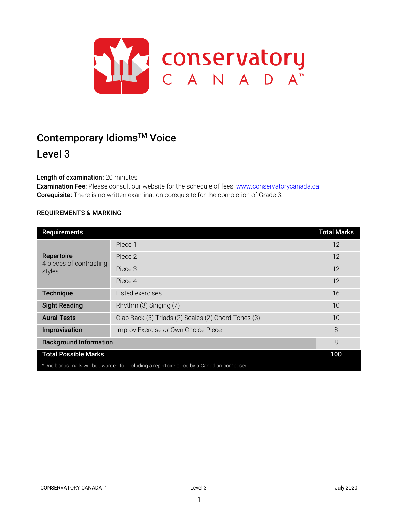

# Contemporary Idioms<sup>™</sup> Voice Level 3

# Length of examination: 20 minutes

Examination Fee: Please consult our website for the schedule of fees: www.conservatorycanada.ca Corequisite: There is no written examination corequisite for the completion of Grade 3.

## REQUIREMENTS & MARKING

| Requirements                                                                            |                                                     | <b>Total Marks</b> |
|-----------------------------------------------------------------------------------------|-----------------------------------------------------|--------------------|
| Repertoire<br>4 pieces of contrasting<br>styles                                         | Piece 1                                             | 12                 |
|                                                                                         | Piece 2                                             | 12                 |
|                                                                                         | Piece 3                                             | 12                 |
|                                                                                         | Piece 4                                             | 12                 |
| <b>Technique</b>                                                                        | Listed exercises                                    | 16                 |
| <b>Sight Reading</b>                                                                    | Rhythm (3) Singing (7)                              | 10                 |
| <b>Aural Tests</b>                                                                      | Clap Back (3) Triads (2) Scales (2) Chord Tones (3) | 10                 |
| Improvisation                                                                           | Improv Exercise or Own Choice Piece                 | 8                  |
| <b>Background Information</b>                                                           |                                                     | 8                  |
| <b>Total Possible Marks</b>                                                             |                                                     | 100                |
| *One bonus mark will be awarded for including a repertoire piece by a Canadian composer |                                                     |                    |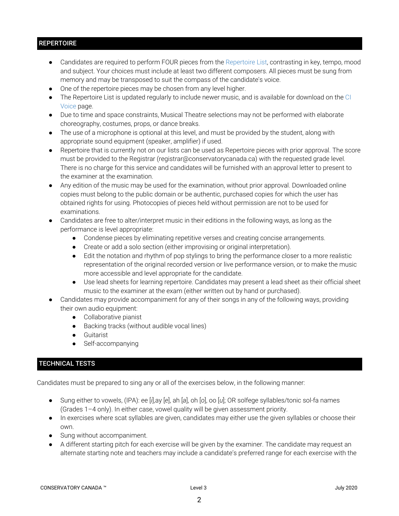# **REPERTOIRE**

- Candidates are required to perform FOUR pieces from the Repertoire List, contrasting in key, tempo, mood and subject. Your choices must include at least two different composers. All pieces must be sung from memory and may be transposed to suit the compass of the candidate's voice.
- One of the repertoire pieces may be chosen from any level higher.
- The Repertoire List is updated regularly to include newer music, and is available for download on the CI Voice page.
- Due to time and space constraints, Musical Theatre selections may not be performed with elaborate choreography, costumes, props, or dance breaks.
- The use of a microphone is optional at this level, and must be provided by the student, along with appropriate sound equipment (speaker, amplifier) if used.
- Repertoire that is currently not on our lists can be used as Repertoire pieces with prior approval. The score must be provided to the Registrar (registrar@conservatorycanada.ca) with the requested grade level. There is no charge for this service and candidates will be furnished with an approval letter to present to the examiner at the examination.
- Any edition of the music may be used for the examination, without prior approval. Downloaded online copies must belong to the public domain or be authentic, purchased copies for which the user has obtained rights for using. Photocopies of pieces held without permission are not to be used for examinations.
- Candidates are free to alter/interpret music in their editions in the following ways, as long as the performance is level appropriate:
	- Condense pieces by eliminating repetitive verses and creating concise arrangements.
	- Create or add a solo section (either improvising or original interpretation).
	- Edit the notation and rhythm of pop stylings to bring the performance closer to a more realistic representation of the original recorded version or live performance version, or to make the music more accessible and level appropriate for the candidate.
	- Use lead sheets for learning repertoire. Candidates may present a lead sheet as their official sheet music to the examiner at the exam (either written out by hand or purchased).
- Candidates may provide accompaniment for any of their songs in any of the following ways, providing their own audio equipment:
	- Collaborative pianist
	- Backing tracks (without audible vocal lines)
	- Guitarist
	- Self-accompanying

# TECHNICAL TESTS

Candidates must be prepared to sing any or all of the exercises below, in the following manner:

- Sung either to vowels, (IPA): ee [*i*],ay [*e*], ah [*a*], oh [*o*], oo [*u*]; OR solfege syllables/tonic sol-fa names (Grades 1–4 only). In either case, vowel quality will be given assessment priority.
- In exercises where scat syllables are given, candidates may either use the given syllables or choose their own.
- Sung without accompaniment.
- A different starting pitch for each exercise will be given by the examiner. The candidate may request an alternate starting note and teachers may include a candidate's preferred range for each exercise with the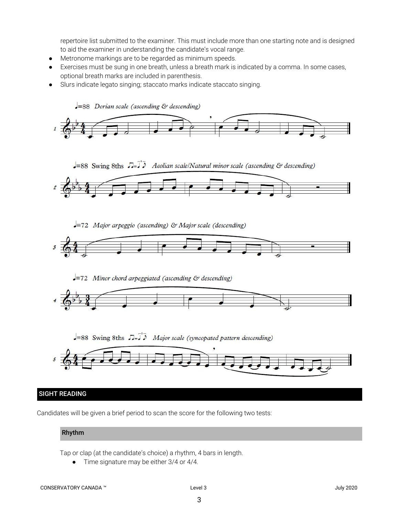repertoire list submitted to the examiner. This must include more than one starting note and is designed to aid the examiner in understanding the candidate's vocal range.

- Metronome markings are to be regarded as minimum speeds.
- Exercises must be sung in one breath, unless a breath mark is indicated by a comma. In some cases, optional breath marks are included in parenthesis.
- Slurs indicate legato singing; staccato marks indicate staccato singing.



Candidates will be given a brief period to scan the score for the following two tests:

## Rhythm

Tap or clap (at the candidate's choice) a rhythm, 4 bars in length.

● Time signature may be either 3/4 or 4/4.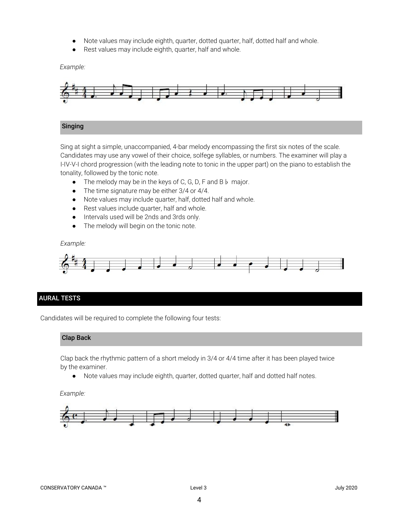- Note values may include eighth, quarter, dotted quarter, half, dotted half and whole.
- Rest values may include eighth, quarter, half and whole.

*Example:*



## Singing

Sing at sight a simple, unaccompanied, 4-bar melody encompassing the first six notes of the scale. Candidates may use any vowel of their choice, solfege syllables, or numbers. The examiner will play a I-IV-V-I chord progression (with the leading note to tonic in the upper part) on the piano to establish the tonality, followed by the tonic note.

- *●* The melody may be in the keys of C, G, D, F and B♭ major.
- *●* The time signature may be either 3/4 or 4/4.
- Note values may include quarter, half, dotted half and whole.
- Rest values include quarter, half and whole.
- Intervals used will be 2nds and 3rds only.
- The melody will begin on the tonic note.

*Example:*



## AURAL TESTS

Candidates will be required to complete the following four tests:

#### Clap Back

Clap back the rhythmic pattern of a short melody in 3/4 or 4/4 time after it has been played twice by the examiner.

● Note values may include eighth, quarter, dotted quarter, half and dotted half notes.

#### *Example:*

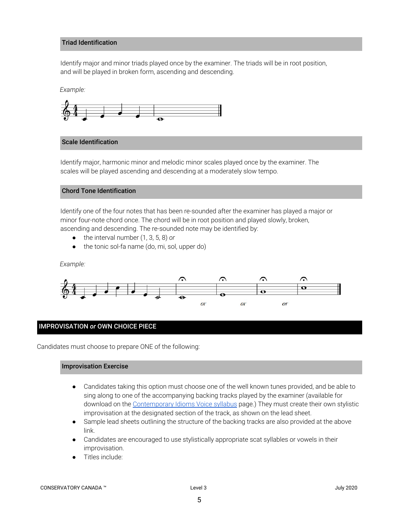### Triad Identification

Identify major and minor triads played once by the examiner. The triads will be in root position, and will be played in broken form, ascending and descending.

*Example:*



## Scale Identification

Identify major, harmonic minor and melodic minor scales played once by the examiner. The scales will be played ascending and descending at a moderately slow tempo.

#### Chord Tone Identification

Identify one of the four notes that has been re-sounded after the examiner has played a major or minor four-note chord once. The chord will be in root position and played slowly, broken, ascending and descending. The re-sounded note may be identified by:

- the interval number (1, 3, 5, 8) *or*
- the tonic sol-fa name (do, mi, sol, upper do)

*Example:*



## IMPROVISATION *or* OWN CHOICE PIECE

Candidates must choose to prepare ONE of the following:

## Improvisation Exercise

- Candidates taking this option must choose one of the well known tunes provided, and be able to sing along to one of the accompanying backing tracks played by the examiner (available for download on the [Contemporary](https://conservatorycanada.ca/syllabi/contemporary-voice/) Idioms Voice syllabus page.) They must create their own stylistic improvisation at the designated section of the track, as shown on the lead sheet.
- Sample lead sheets outlining the structure of the backing tracks are also provided at the above link.
- Candidates are encouraged to use stylistically appropriate scat syllables or vowels in their improvisation.
- Titles include: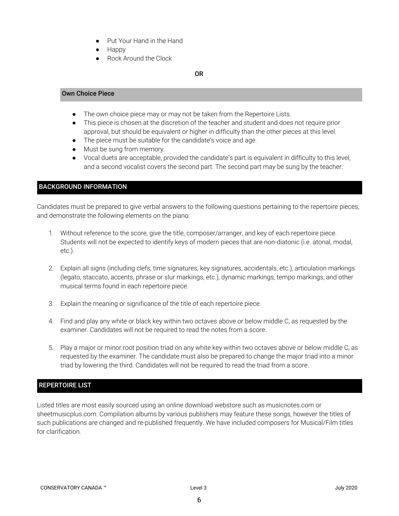- Put Your Hand in the Hand
- Happy
- Rock Around the Clock

# OR

## Own Choice Piece

- The own choice piece may or may not be taken from the Repertoire Lists.
- This piece is chosen at the discretion of the teacher and student and does not require prior approval, but should be equivalent or higher in difficulty than the other pieces at this level.
- The piece must be suitable for the candidate's voice and age.
- Must be sung from memory.
- Vocal duets are acceptable, provided the candidate's part is equivalent in difficulty to this level, and a second vocalist covers the second part. The second part may be sung by the teacher.

# BACKGROUND INFORMATION

Candidates must be prepared to give verbal answers to the following questions pertaining to the repertoire pieces, and demonstrate the following elements on the piano:

- 1. Without reference to the score, give the title, composer/arranger, and key of each repertoire piece. Students will not be expected to identify keys of modern pieces that are non-diatonic (i.e. atonal, modal, etc.).
- 2. Explain all signs (including clefs, time signatures, key signatures, accidentals, etc.), articulation markings (legato, staccato, accents, phrase or slur markings, etc.), dynamic markings, tempo markings, and other musical terms found in each repertoire piece.
- 3. Explain the meaning or significance of the title of each repertoire piece.
- 4. Find and play any white or black key within two octaves above or below middle C, as requested by the examiner. Candidates will not be required to read the notes from a score.
- 5. Play a major or minor root position triad on any white key within two octaves above or below middle C, as requested by the examiner. The candidate must also be prepared to change the major triad into a minor triad by lowering the third. Candidates will not be required to read the triad from a score.

# REPERTOIRE LIST

Listed titles are most easily sourced using an online download webstore such as musicnotes.com or sheetmusicplus.com. Compilation albums by various publishers may feature these songs, however the titles of such publications are changed and re-published frequently. We have included composers for Musical/Film titles for clarification.